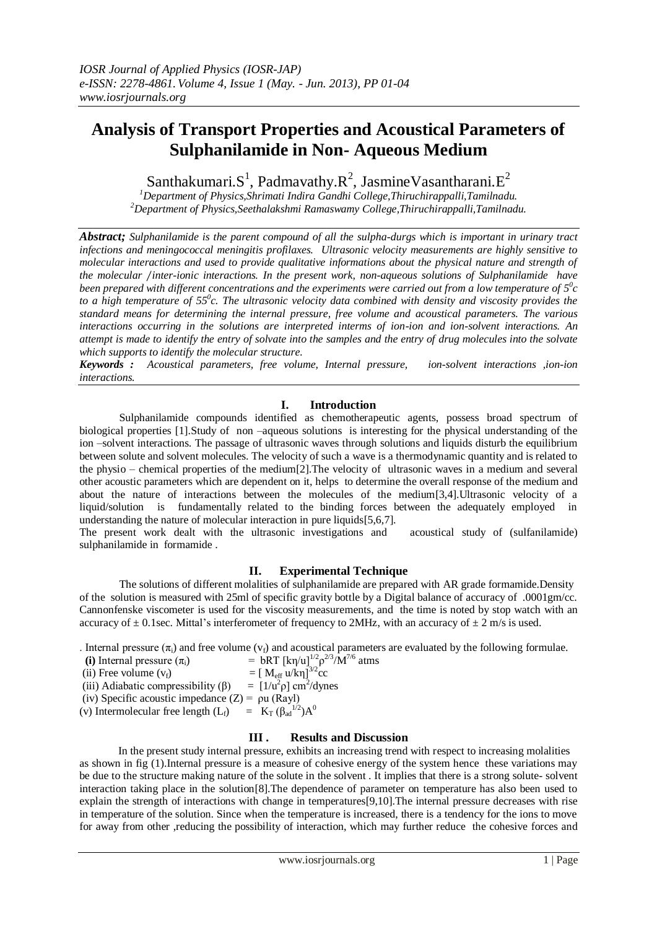# **Analysis of Transport Properties and Acoustical Parameters of Sulphanilamide in Non- Aqueous Medium**

Santhakumari. $S^1$ , Padmavathy. $R^2$ , Jasmine Vasantharani. $E^2$ 

*<sup>1</sup>Department of Physics,Shrimati Indira Gandhi College,Thiruchirappalli,Tamilnadu. <sup>2</sup>Department of Physics,Seethalakshmi Ramaswamy College,Thiruchirappalli,Tamilnadu.*

*Abstract; Sulphanilamide is the parent compound of all the sulpha-durgs which is important in urinary tract infections and meningococcal meningitis profilaxes. Ultrasonic velocity measurements are highly sensitive to molecular interactions and used to provide qualitative informations about the physical nature and strength of the molecular* ∕*inter-ionic interactions. In the present work, non-aqueous solutions of Sulphanilamide have*  been prepared with different concentrations and the experiments were carried out from a low temperature of  $5^0c$ *to a high temperature of 55<sup>0</sup> c. The ultrasonic velocity data combined with density and viscosity provides the standard means for determining the internal pressure, free volume and acoustical parameters. The various interactions occurring in the solutions are interpreted interms of ion-ion and ion-solvent interactions. An attempt is made to identify the entry of solvate into the samples and the entry of drug molecules into the solvate which supports to identify the molecular structure.*

*Keywords : Acoustical parameters, free volume, Internal pressure, ion-solvent interactions ,ion-ion interactions.*

## **I. Introduction**

Sulphanilamide compounds identified as chemotherapeutic agents, possess broad spectrum of biological properties [1].Study of non –aqueous solutions is interesting for the physical understanding of the ion –solvent interactions. The passage of ultrasonic waves through solutions and liquids disturb the equilibrium between solute and solvent molecules. The velocity of such a wave is a thermodynamic quantity and is related to the physio – chemical properties of the medium[2].The velocity of ultrasonic waves in a medium and several other acoustic parameters which are dependent on it, helps to determine the overall response of the medium and about the nature of interactions between the molecules of the medium[3,4].Ultrasonic velocity of a liquid/solution is fundamentally related to the binding forces between the adequately employed in understanding the nature of molecular interaction in pure liquids[5,6,7].

The present work dealt with the ultrasonic investigations and acoustical study of (sulfanilamide) sulphanilamide in formamide .

### **II. Experimental Technique**

The solutions of different molalities of sulphanilamide are prepared with AR grade formamide.Density of the solution is measured with 25ml of specific gravity bottle by a Digital balance of accuracy of .0001gm/cc. Cannonfenske viscometer is used for the viscosity measurements, and the time is noted by stop watch with an accuracy of  $\pm$  0.1sec. Mittal's interferometer of frequency to 2MHz, with an accuracy of  $\pm$  2 m/s is used.

. Internal pressure  $(\pi_i)$  and free volume  $(v_f)$  and acoustical parameters are evaluated by the following formulae.

| (i) Internal pressure $(\pi_i)$                                       | = bRT $[k\eta/u]^{1/2} \rho^{2/3} M^{7/6}$ atms       |
|-----------------------------------------------------------------------|-------------------------------------------------------|
| (ii) Free volume $(v_f)$                                              | = $[M_{\rm eff} u / k\eta]^{3/2}$ cc                  |
| (iii) Adiabatic compressibility $(\beta)$                             | $=$ [1/u <sup>2</sup> $\rho$ ] cm <sup>2</sup> /dynes |
| (iv) Specific acoustic impedance $(Z) = \rho u$ (Rayl)                |                                                       |
| (v) Intermolecular free length $(L_f)$ = $K_T (\beta_{ad}^{1/2}) A^0$ |                                                       |
|                                                                       |                                                       |

### **III . Results and Discussion**

 In the present study internal pressure, exhibits an increasing trend with respect to increasing molalities as shown in fig (1).Internal pressure is a measure of cohesive energy of the system hence these variations may be due to the structure making nature of the solute in the solvent . It implies that there is a strong solute- solvent interaction taking place in the solution[8].The dependence of parameter on temperature has also been used to explain the strength of interactions with change in temperatures[9,10].The internal pressure decreases with rise in temperature of the solution. Since when the temperature is increased, there is a tendency for the ions to move for away from other ,reducing the possibility of interaction, which may further reduce the cohesive forces and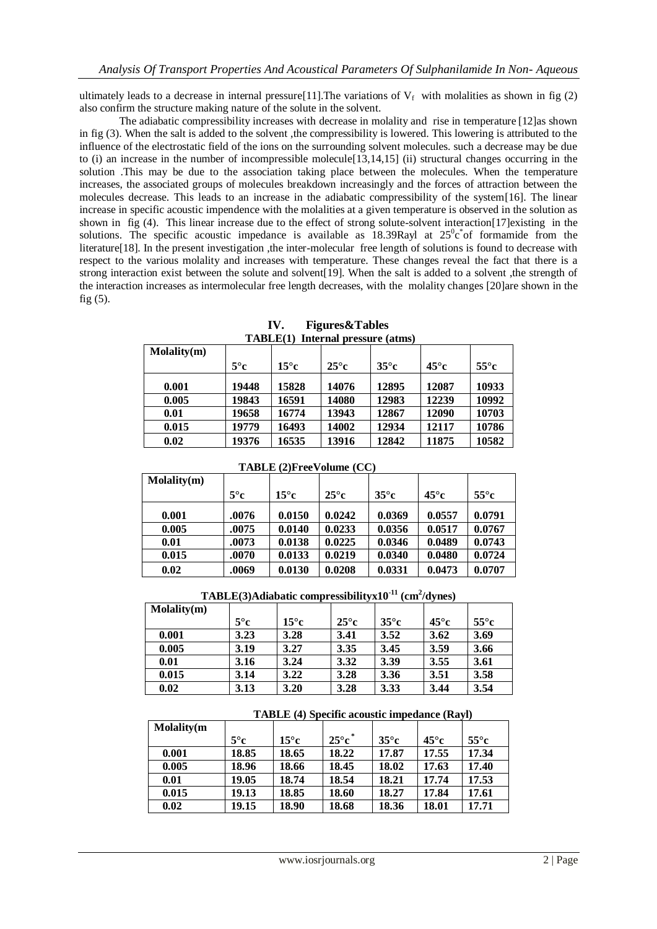ultimately leads to a decrease in internal pressure[11]. The variations of  $V_f$  with molalities as shown in fig (2) also confirm the structure making nature of the solute in the solvent.

The adiabatic compressibility increases with decrease in molality and rise in temperature [12]as shown in fig (3). When the salt is added to the solvent ,the compressibility is lowered. This lowering is attributed to the influence of the electrostatic field of the ions on the surrounding solvent molecules. such a decrease may be due to (i) an increase in the number of incompressible molecule[13,14,15] (ii) structural changes occurring in the solution .This may be due to the association taking place between the molecules. When the temperature increases, the associated groups of molecules breakdown increasingly and the forces of attraction between the molecules decrease. This leads to an increase in the adiabatic compressibility of the system[16]. The linear increase in specific acoustic impendence with the molalities at a given temperature is observed in the solution as shown in fig (4). This linear increase due to the effect of strong solute-solvent interaction[17]existing in the solutions. The specific acoustic impedance is available as 18.39Rayl at  $25^\circ c^*$  of formamide from the literature[18]. In the present investigation ,the inter-molecular free length of solutions is found to decrease with respect to the various molality and increases with temperature. These changes reveal the fact that there is a strong interaction exist between the solute and solvent[19]. When the salt is added to a solvent ,the strength of the interaction increases as intermolecular free length decreases, with the molality changes [20]are shown in the fig (5).

| TADLE(1) Internal pressure (atms) |              |               |               |               |               |               |  |  |
|-----------------------------------|--------------|---------------|---------------|---------------|---------------|---------------|--|--|
| Molality(m)                       |              |               |               |               |               |               |  |  |
|                                   | $5^{\circ}c$ | $15^{\circ}c$ | $25^{\circ}c$ | $35^{\circ}c$ | $45^{\circ}c$ | $55^{\circ}c$ |  |  |
| 0.001                             | 19448        | 15828         | 14076         | 12895         | 12087         | 10933         |  |  |
| 0.005                             | 19843        | 16591         | 14080         | 12983         | 12239         | 10992         |  |  |
| 0.01                              | 19658        | 16774         | 13943         | 12867         | 12090         | 10703         |  |  |
| 0.015                             | 19779        | 16493         | 14002         | 12934         | 12117         | 10786         |  |  |
| 0.02                              | 19376        | 16535         | 13916         | 12842         | 11875         | 10582         |  |  |

**IV. Figures&Tables TABLE(1) Internal pressure (atms)**

| <b>TABLE (2)FreeVolume (CC)</b> |              |               |               |               |               |               |  |  |
|---------------------------------|--------------|---------------|---------------|---------------|---------------|---------------|--|--|
| $M$ olality $(m)$               |              |               |               |               |               |               |  |  |
|                                 | $5^{\circ}c$ | $15^{\circ}c$ | $25^{\circ}c$ | $35^{\circ}c$ | $45^{\circ}c$ | $55^{\circ}c$ |  |  |
| 0.001                           | .0076        | 0.0150        | 0.0242        | 0.0369        | 0.0557        | 0.0791        |  |  |
| 0.005                           | .0075        | 0.0140        | 0.0233        | 0.0356        | 0.0517        | 0.0767        |  |  |
| 0.01                            | .0073        | 0.0138        | 0.0225        | 0.0346        | 0.0489        | 0.0743        |  |  |
| 0.015                           | .0070        | 0.0133        | 0.0219        | 0.0340        | 0.0480        | 0.0724        |  |  |
| 0.02                            | .0069        | 0.0130        | 0.0208        | 0.0331        | 0.0473        | 0.0707        |  |  |

**TABLE(3)Adiabatic compressibilityx10-11 (cm<sup>2</sup> /dynes)**

| $M$ olality $(m)$ |              |               |               |               |               |               |
|-------------------|--------------|---------------|---------------|---------------|---------------|---------------|
|                   | $5^{\circ}c$ | $15^{\circ}c$ | $25^{\circ}c$ | $35^{\circ}c$ | $45^{\circ}c$ | $55^{\circ}c$ |
| 0.001             | 3.23         | 3.28          | 3.41          | 3.52          | 3.62          | 3.69          |
| 0.005             | 3.19         | 3.27          | 3.35          | 3.45          | 3.59          | 3.66          |
| 0.01              | 3.16         | 3.24          | 3.32          | 3.39          | 3.55          | 3.61          |
| 0.015             | 3.14         | 3.22          | 3.28          | 3.36          | 3.51          | 3.58          |
| 0.02              | 3.13         | 3.20          | 3.28          | 3.33          | 3.44          | 3.54          |

| <b>TABLE</b> (4) Specific acoustic impedance (Rayl) |
|-----------------------------------------------------|
|-----------------------------------------------------|

| <b>Molality</b> (m) |              |               |                 |              |               |               |
|---------------------|--------------|---------------|-----------------|--------------|---------------|---------------|
|                     | $5^{\circ}c$ | $15^{\circ}c$ | $25^{\circ}c^*$ | $35^\circ c$ | $45^{\circ}c$ | $55^{\circ}c$ |
| 0.001               | 18.85        | 18.65         | 18.22           | 17.87        | 17.55         | 17.34         |
| 0.005               | 18.96        | 18.66         | 18.45           | 18.02        | 17.63         | 17.40         |
| 0.01                | 19.05        | 18.74         | 18.54           | 18.21        | 17.74         | 17.53         |
| 0.015               | 19.13        | 18.85         | 18.60           | 18.27        | 17.84         | 17.61         |
| 0.02                | 19.15        | 18.90         | 18.68           | 18.36        | 18.01         | 17.71         |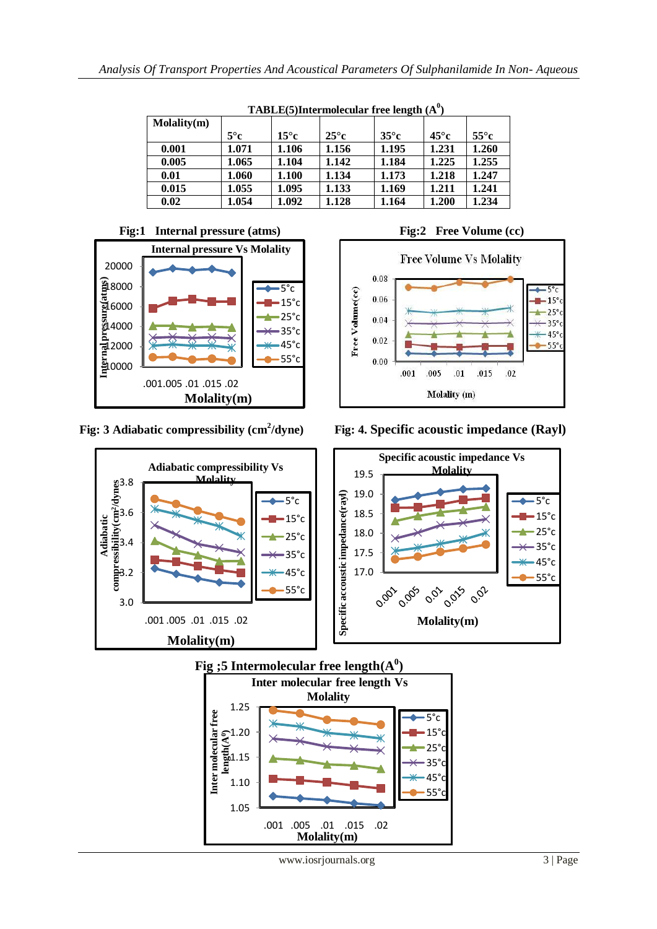| $IADLE(3)$ Hiter Hitercular Tree religion (A) |              |               |               |               |               |               |  |
|-----------------------------------------------|--------------|---------------|---------------|---------------|---------------|---------------|--|
| Molality(m)                                   |              |               |               |               |               |               |  |
|                                               | $5^{\circ}c$ | $15^{\circ}c$ | $25^{\circ}c$ | $35^{\circ}c$ | $45^{\circ}c$ | $55^{\circ}c$ |  |
| 0.001                                         | 1.071        | 1.106         | 1.156         | 1.195         | 1.231         | 1.260         |  |
| 0.005                                         | 1.065        | 1.104         | 1.142         | 1.184         | 1.225         | 1.255         |  |
| 0.01                                          | 1.060        | 1.100         | 1.134         | 1.173         | 1.218         | 1.247         |  |
| 0.015                                         | 1.055        | 1.095         | 1.133         | 1.169         | 1.211         | 1.241         |  |
| 0.02                                          | 1.054        | 1.092         | 1.128         | 1.164         | 1.200         | 1.234         |  |

 **TABLE(5)Intermolecular free length (A<sup>0</sup> )**





**Fig: 3 Adiabatic compressibility (cm<sup>2</sup>**



*Fig:* **4. Specific acoustic impedance (Rayl)**